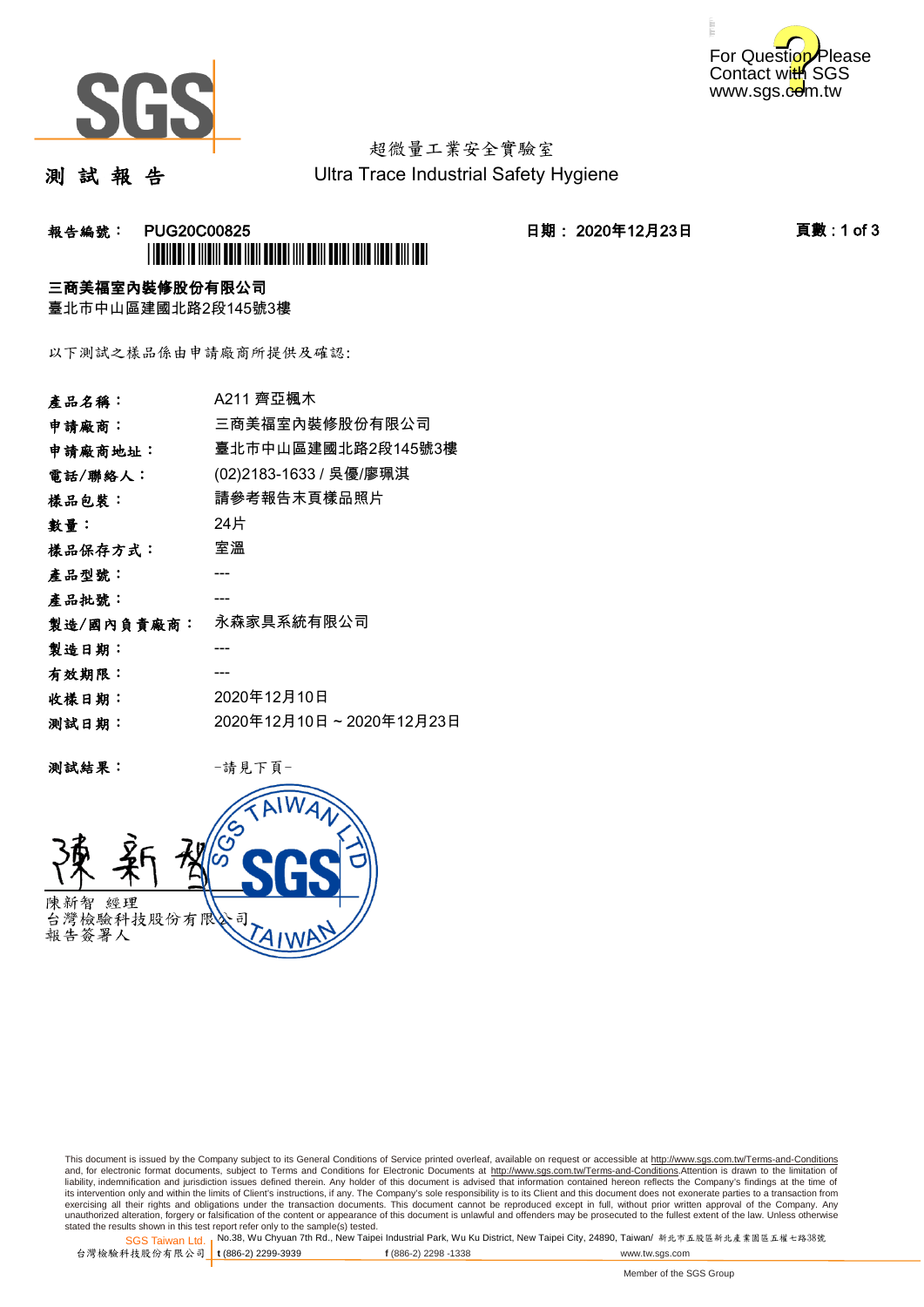



# 超微量工業安全實驗室

測 試 報 告

Ultra Trace Industrial Safety Hygiene

### **報告編號: PUG20C00825 日期: 2020年12月23日 頁數:1 of 3** \*PUG20C00825\*

#### 三商美福室內裝修股份有限公司

臺北市中山區建國北路2段145號3樓

以下測試之樣品係由申請廠商所提供及確認:

| 產品名稱:      | A211 齊亞楓木               |
|------------|-------------------------|
| 申請廠商:      | 三商美福室內裝修股份有限公司          |
| 申請廠商地址:    | 臺北市中山區建國北路2段145號3樓      |
| 電話/聯絡人:    | (02)2183-1633 / 吳優/廖珮淇  |
| 樣品包裝:      | 請參考報告末頁樣品照片             |
| 數量:        | 24片                     |
| 樣品保存方式:    | 室溫                      |
| 產品型號:      |                         |
| 產品批號:      |                         |
| 製造/國內負責廠商: | 永森家具系統有限公司              |
| 製造日期:      |                         |
| 有效期限:      |                         |
| 收樣日期:      | 2020年12月10日             |
| 测試日期:      | 2020年12月10日~2020年12月23日 |
|            |                         |

测試結果: 一請見下頁



This document is issued by the Company subject to its General Conditions of Service printed overleaf, available on request or accessible at http://www.sgs.com.tw/Terms-and-Conditions and, for electronic format documents, subject to Terms and Conditions for Electronic Documents at <u>http://www.sgs.com.tw/Terms-and-Conditions</u>.Attention is drawn to the limitation of<br>liability, indemnification and jurisdic exercising all their rights and obligations under the transaction documents. This document cannot be reproduced except in full, without prior written approval of the Company. Any<br>unauthorized alteration, forgery or falsifi

SGS Taiwan Ltd. 1 stated the results shown in this test report refer only to the sample(s) tested.<br>Stated the results shown in this test report refer only to the sample(s) tested.

台灣檢驗科技股份有限公司

**t** (886-2) 2299-3939 **f** (886-2) 2298 -1338 www.tw.sgs.com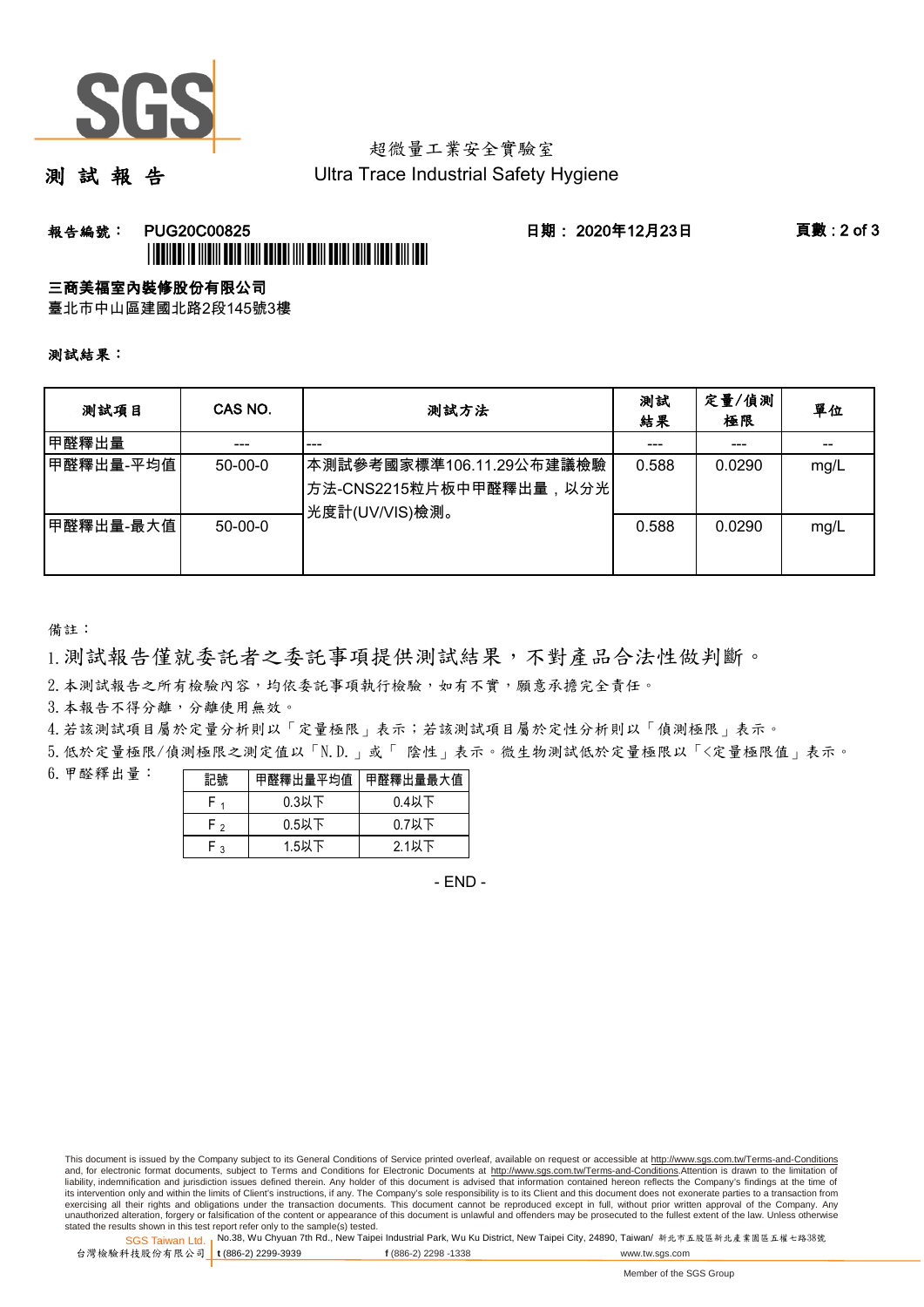

## 超微量工業安全實驗室

測 試 報 告

Ultra Trace Industrial Safety Hygiene

### 報告編號: PUG20C00825 日期: 2020年12月23日 頁數 : 2 of 3 \*PUG20C00825\*

#### 三商美福室內裝修股份有限公司

臺北市中山區建國北路2段145號3樓

測試結果:

| 测試項目      | CAS NO.       | 測試方法                                                                  | 測試<br>結果 | 定量/偵測<br>極限 | 單位   |
|-----------|---------------|-----------------------------------------------------------------------|----------|-------------|------|
| 甲醛釋出量     |               | ---                                                                   |          | ---         |      |
| 甲醛釋出量-平均值 | $50-00-0$     | 本測試參考國家標準106.11.29公布建議檢驗<br>方法-CNS2215粒片板中甲醛釋出量,以分光<br>光度計(UV/VIS)檢測。 | 0.588    | 0.0290      | mg/L |
| 甲醛釋出量-最大值 | $50 - 00 - 0$ |                                                                       | 0.588    | 0.0290      | mg/L |

備註:

1.測試報告僅就委託者之委託事項提供測試結果,不對產品合法性做判斷。

2.本測試報告之所有檢驗內容,均依委託事項執行檢驗,如有不實,願意承擔完全責任。

3. 本報告不得分離,分離使用無效。

4.若該測試項目屬於定量分析則以「定量極限」表示;若該測試項目屬於定性分析則以「偵測極限」表示。

5.低於定量極限/偵測極限之測定值以「N.D.」或「 陰性」表示。微生物測試低於定量極限以「<定量極限值」表示。

6.甲醛釋出量:

| 記號  | 甲醛釋出量平均值丨 | 甲醛釋出量最大值 |  |  |
|-----|-----------|----------|--|--|
|     | $0.3$ 以下  | $0.4$ 以下 |  |  |
| ه ۲ | $0.5$ 以下  | $0.7$ 以下 |  |  |
| م.  | 1.5以下     | 2.1以下    |  |  |

- END -

This document is issued by the Company subject to its General Conditions of Service printed overleaf, available on request or accessible at http://www.sgs.com.tw/Terms-and-Conditions and, for electronic format documents, subject to Terms and Conditions for Electronic Documents at http://www.sgs.com.tw/Terms-and-Conditions.Attention is drawn to the limitation of liability, indemnification and jurisdiction issues defined therein. Any holder of this document is advised that information contained hereon reflects the Company's findings at the time of<br>its intervention only and within t exercising all their rights and obligations under the transaction documents. This document cannot be reproduced except in full, without prior written approval of the Company. Any<br>unauthorized alteration, forgery or falsifi

SGS Taiwan Ltd. 1 stated the results shown in this test report refer only to the sample(s) tested.<br>Stated the results shown in this test report refer only to the sample(s) tested.

台灣檢驗科技股份有限公司

**t** (886-2) 2299-3939 **f** (886-2) 2298 -1338 www.tw.sgs.com